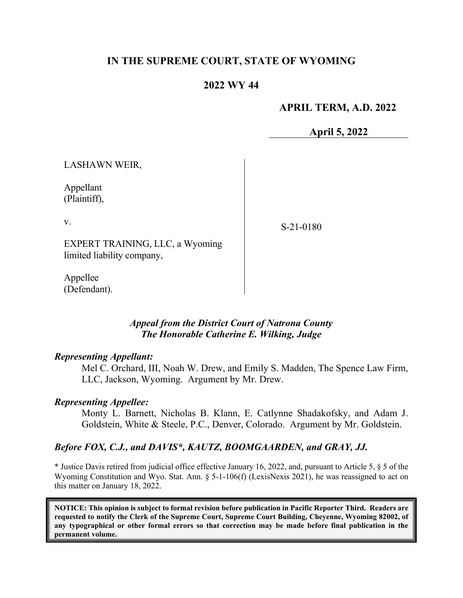## **IN THE SUPREME COURT, STATE OF WYOMING**

## **2022 WY 44**

## **APRIL TERM, A.D. 2022**

**April 5, 2022**

LASHAWN WEIR,

Appellant (Plaintiff),

v.

S-21-0180

EXPERT TRAINING, LLC, a Wyoming limited liability company,

Appellee (Defendant).

#### *Appeal from the District Court of Natrona County The Honorable Catherine E. Wilking, Judge*

#### *Representing Appellant:*

Mel C. Orchard, III, Noah W. Drew, and Emily S. Madden, The Spence Law Firm, LLC, Jackson, Wyoming. Argument by Mr. Drew.

#### *Representing Appellee:*

Monty L. Barnett, Nicholas B. Klann, E. Catlynne Shadakofsky, and Adam J. Goldstein, White & Steele, P.C., Denver, Colorado. Argument by Mr. Goldstein.

#### *Before FOX, C.J., and DAVIS\*, KAUTZ, BOOMGAARDEN, and GRAY, JJ.*

\* Justice Davis retired from judicial office effective January 16, 2022, and, pursuant to Article 5, § 5 of the Wyoming Constitution and Wyo. Stat. Ann. § 5-1-106(f) (LexisNexis 2021), he was reassigned to act on this matter on January 18, 2022.

**NOTICE: This opinion is subject to formal revision before publication in Pacific Reporter Third. Readers are requested to notify the Clerk of the Supreme Court, Supreme Court Building, Cheyenne, Wyoming 82002, of any typographical or other formal errors so that correction may be made before final publication in the permanent volume.**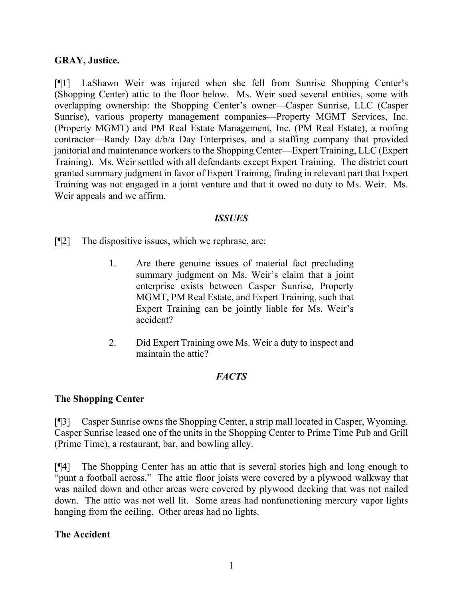## **GRAY, Justice.**

[¶1] LaShawn Weir was injured when she fell from Sunrise Shopping Center's (Shopping Center) attic to the floor below. Ms. Weir sued several entities, some with overlapping ownership: the Shopping Center's owner—Casper Sunrise, LLC (Casper Sunrise), various property management companies—Property MGMT Services, Inc. (Property MGMT) and PM Real Estate Management, Inc. (PM Real Estate), a roofing contractor—Randy Day d/b/a Day Enterprises, and a staffing company that provided janitorial and maintenance workers to the Shopping Center—Expert Training, LLC (Expert Training). Ms. Weir settled with all defendants except Expert Training. The district court granted summary judgment in favor of Expert Training, finding in relevant part that Expert Training was not engaged in a joint venture and that it owed no duty to Ms. Weir. Ms. Weir appeals and we affirm.

#### *ISSUES*

[¶2] The dispositive issues, which we rephrase, are:

- 1. Are there genuine issues of material fact precluding summary judgment on Ms. Weir's claim that a joint enterprise exists between Casper Sunrise, Property MGMT, PM Real Estate, and Expert Training, such that Expert Training can be jointly liable for Ms. Weir's accident?
- 2. Did Expert Training owe Ms. Weir a duty to inspect and maintain the attic?

## *FACTS*

## **The Shopping Center**

[¶3] Casper Sunrise owns the Shopping Center, a strip mall located in Casper, Wyoming. Casper Sunrise leased one of the units in the Shopping Center to Prime Time Pub and Grill (Prime Time), a restaurant, bar, and bowling alley.

[¶4] The Shopping Center has an attic that is several stories high and long enough to "punt a football across." The attic floor joists were covered by a plywood walkway that was nailed down and other areas were covered by plywood decking that was not nailed down. The attic was not well lit. Some areas had nonfunctioning mercury vapor lights hanging from the ceiling. Other areas had no lights.

#### **The Accident**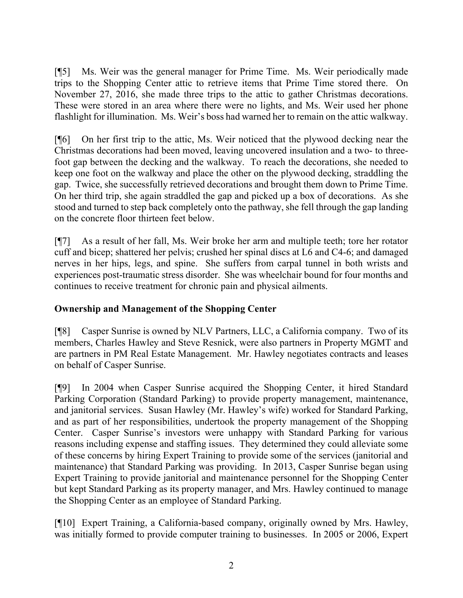[¶5] Ms. Weir was the general manager for Prime Time. Ms. Weir periodically made trips to the Shopping Center attic to retrieve items that Prime Time stored there. On November 27, 2016, she made three trips to the attic to gather Christmas decorations. These were stored in an area where there were no lights, and Ms. Weir used her phone flashlight for illumination. Ms. Weir's boss had warned her to remain on the attic walkway.

[¶6] On her first trip to the attic, Ms. Weir noticed that the plywood decking near the Christmas decorations had been moved, leaving uncovered insulation and a two- to threefoot gap between the decking and the walkway. To reach the decorations, she needed to keep one foot on the walkway and place the other on the plywood decking, straddling the gap. Twice, she successfully retrieved decorations and brought them down to Prime Time. On her third trip, she again straddled the gap and picked up a box of decorations. As she stood and turned to step back completely onto the pathway, she fell through the gap landing on the concrete floor thirteen feet below.

[¶7] As a result of her fall, Ms. Weir broke her arm and multiple teeth; tore her rotator cuff and bicep; shattered her pelvis; crushed her spinal discs at L6 and C4-6; and damaged nerves in her hips, legs, and spine. She suffers from carpal tunnel in both wrists and experiences post-traumatic stress disorder. She was wheelchair bound for four months and continues to receive treatment for chronic pain and physical ailments.

# **Ownership and Management of the Shopping Center**

[¶8] Casper Sunrise is owned by NLV Partners, LLC, a California company. Two of its members, Charles Hawley and Steve Resnick, were also partners in Property MGMT and are partners in PM Real Estate Management. Mr. Hawley negotiates contracts and leases on behalf of Casper Sunrise.

[¶9] In 2004 when Casper Sunrise acquired the Shopping Center, it hired Standard Parking Corporation (Standard Parking) to provide property management, maintenance, and janitorial services. Susan Hawley (Mr. Hawley's wife) worked for Standard Parking, and as part of her responsibilities, undertook the property management of the Shopping Center. Casper Sunrise's investors were unhappy with Standard Parking for various reasons including expense and staffing issues. They determined they could alleviate some of these concerns by hiring Expert Training to provide some of the services (janitorial and maintenance) that Standard Parking was providing. In 2013, Casper Sunrise began using Expert Training to provide janitorial and maintenance personnel for the Shopping Center but kept Standard Parking as its property manager, and Mrs. Hawley continued to manage the Shopping Center as an employee of Standard Parking.

[¶10] Expert Training, a California-based company, originally owned by Mrs. Hawley, was initially formed to provide computer training to businesses. In 2005 or 2006, Expert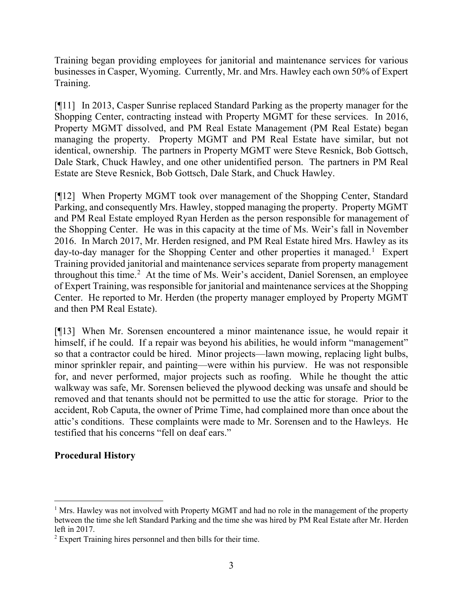Training began providing employees for janitorial and maintenance services for various businesses in Casper, Wyoming. Currently, Mr. and Mrs. Hawley each own 50% of Expert Training.

[¶11] In 2013, Casper Sunrise replaced Standard Parking as the property manager for the Shopping Center, contracting instead with Property MGMT for these services. In 2016, Property MGMT dissolved, and PM Real Estate Management (PM Real Estate) began managing the property. Property MGMT and PM Real Estate have similar, but not identical, ownership. The partners in Property MGMT were Steve Resnick, Bob Gottsch, Dale Stark, Chuck Hawley, and one other unidentified person. The partners in PM Real Estate are Steve Resnick, Bob Gottsch, Dale Stark, and Chuck Hawley.

[¶12] When Property MGMT took over management of the Shopping Center, Standard Parking, and consequently Mrs. Hawley, stopped managing the property. Property MGMT and PM Real Estate employed Ryan Herden as the person responsible for management of the Shopping Center. He was in this capacity at the time of Ms. Weir's fall in November 2016. In March 2017, Mr. Herden resigned, and PM Real Estate hired Mrs. Hawley as its day-to-day manager for the Shopping Center and other properties it managed.<sup>[1](#page-3-0)</sup> Expert Training provided janitorial and maintenance services separate from property management throughout this time.<sup>[2](#page-3-1)</sup> At the time of Ms. Weir's accident, Daniel Sorensen, an employee of Expert Training, was responsible for janitorial and maintenance services at the Shopping Center. He reported to Mr. Herden (the property manager employed by Property MGMT and then PM Real Estate).

[¶13] When Mr. Sorensen encountered a minor maintenance issue, he would repair it himself, if he could. If a repair was beyond his abilities, he would inform "management" so that a contractor could be hired. Minor projects—lawn mowing, replacing light bulbs, minor sprinkler repair, and painting—were within his purview. He was not responsible for, and never performed, major projects such as roofing. While he thought the attic walkway was safe, Mr. Sorensen believed the plywood decking was unsafe and should be removed and that tenants should not be permitted to use the attic for storage. Prior to the accident, Rob Caputa, the owner of Prime Time, had complained more than once about the attic's conditions. These complaints were made to Mr. Sorensen and to the Hawleys. He testified that his concerns "fell on deaf ears."

## **Procedural History**

<span id="page-3-0"></span><sup>&</sup>lt;sup>1</sup> Mrs. Hawley was not involved with Property MGMT and had no role in the management of the property between the time she left Standard Parking and the time she was hired by PM Real Estate after Mr. Herden left in 2017.

<span id="page-3-1"></span><sup>2</sup> Expert Training hires personnel and then bills for their time.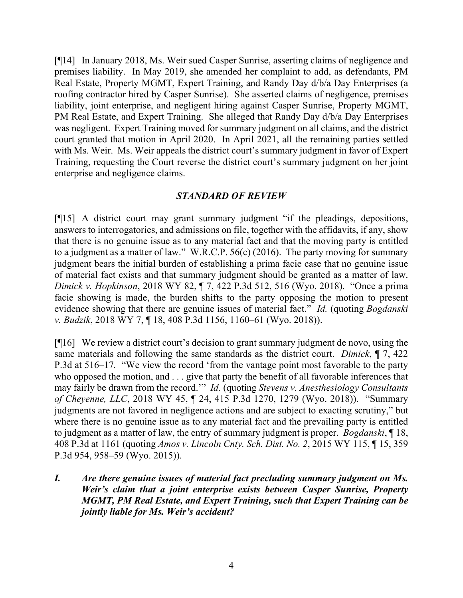[¶14] In January 2018, Ms. Weir sued Casper Sunrise, asserting claims of negligence and premises liability. In May 2019, she amended her complaint to add, as defendants, PM Real Estate, Property MGMT, Expert Training, and Randy Day d/b/a Day Enterprises (a roofing contractor hired by Casper Sunrise). She asserted claims of negligence, premises liability, joint enterprise, and negligent hiring against Casper Sunrise, Property MGMT, PM Real Estate, and Expert Training. She alleged that Randy Day d/b/a Day Enterprises was negligent. Expert Training moved for summary judgment on all claims, and the district court granted that motion in April 2020. In April 2021, all the remaining parties settled with Ms. Weir. Ms. Weir appeals the district court's summary judgment in favor of Expert Training, requesting the Court reverse the district court's summary judgment on her joint enterprise and negligence claims.

## *STANDARD OF REVIEW*

[¶15] A district court may grant summary judgment "if the pleadings, depositions, answers to interrogatories, and admissions on file, together with the affidavits, if any, show that there is no genuine issue as to any material fact and that the moving party is entitled to a judgment as a matter of law." W.R.C.P. 56(c) (2016). The party moving for summary judgment bears the initial burden of establishing a prima facie case that no genuine issue of material fact exists and that summary judgment should be granted as a matter of law. *Dimick v. Hopkinson*, 2018 WY 82, ¶ 7, 422 P.3d 512, 516 (Wyo. 2018). "Once a prima facie showing is made, the burden shifts to the party opposing the motion to present evidence showing that there are genuine issues of material fact." *Id.* (quoting *Bogdanski v. Budzik*, 2018 WY 7, ¶ 18, 408 P.3d 1156, 1160–61 (Wyo. 2018)).

[¶16] We review a district court's decision to grant summary judgment de novo, using the same materials and following the same standards as the district court. *Dimick*, ¶ 7, 422 P.3d at 516–17*.* "We view the record 'from the vantage point most favorable to the party who opposed the motion, and . . . give that party the benefit of all favorable inferences that may fairly be drawn from the record.'" *Id.* (quoting *Stevens v. Anesthesiology Consultants of Cheyenne, LLC*, 2018 WY 45, ¶ 24, 415 P.3d 1270, 1279 (Wyo. 2018)). "Summary judgments are not favored in negligence actions and are subject to exacting scrutiny," but where there is no genuine issue as to any material fact and the prevailing party is entitled to judgment as a matter of law, the entry of summary judgment is proper. *Bogdanski*, ¶ 18, 408 P.3d at 1161 (quoting *Amos v. Lincoln Cnty. Sch. Dist. No. 2*, 2015 WY 115, ¶ 15, 359 P.3d 954, 958–59 (Wyo. 2015)).

*I. Are there genuine issues of material fact precluding summary judgment on Ms. Weir's claim that a joint enterprise exists between Casper Sunrise, Property MGMT, PM Real Estate, and Expert Training, such that Expert Training can be jointly liable for Ms. Weir's accident?*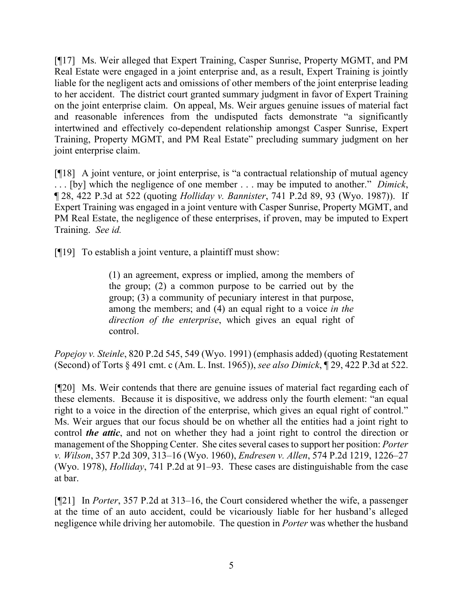[¶17] Ms. Weir alleged that Expert Training, Casper Sunrise, Property MGMT, and PM Real Estate were engaged in a joint enterprise and, as a result, Expert Training is jointly liable for the negligent acts and omissions of other members of the joint enterprise leading to her accident. The district court granted summary judgment in favor of Expert Training on the joint enterprise claim. On appeal, Ms. Weir argues genuine issues of material fact and reasonable inferences from the undisputed facts demonstrate "a significantly intertwined and effectively co-dependent relationship amongst Casper Sunrise, Expert Training, Property MGMT, and PM Real Estate" precluding summary judgment on her joint enterprise claim.

[¶18] A joint venture, or joint enterprise, is "a contractual relationship of mutual agency . . . [by] which the negligence of one member . . . may be imputed to another." *Dimick*, ¶ 28, 422 P.3d at 522 (quoting *Holliday v. Bannister*, 741 P.2d 89, 93 (Wyo. 1987)). If Expert Training was engaged in a joint venture with Casper Sunrise, Property MGMT, and PM Real Estate, the negligence of these enterprises, if proven, may be imputed to Expert Training. *See id.*

[¶19] To establish a joint venture, a plaintiff must show:

(1) an agreement, express or implied, among the members of the group; (2) a common purpose to be carried out by the group; (3) a community of pecuniary interest in that purpose, among the members; and (4) an equal right to a voice *in the direction of the enterprise*, which gives an equal right of control.

*Popejoy v. Steinle*, 820 P.2d 545, 549 (Wyo. 1991) (emphasis added) (quoting Restatement (Second) of Torts § 491 cmt. c (Am. L. Inst. 1965)), *see also Dimick*, ¶ 29, 422 P.3d at 522.

[¶20] Ms. Weir contends that there are genuine issues of material fact regarding each of these elements. Because it is dispositive, we address only the fourth element: "an equal right to a voice in the direction of the enterprise, which gives an equal right of control." Ms. Weir argues that our focus should be on whether all the entities had a joint right to control *the attic*, and not on whether they had a joint right to control the direction or management of the Shopping Center. She cites several cases to support her position: *Porter v. Wilson*, 357 P.2d 309, 313–16 (Wyo. 1960), *Endresen v. Allen*, 574 P.2d 1219, 1226–27 (Wyo. 1978), *Holliday*, 741 P.2d at 91–93. These cases are distinguishable from the case at bar.

[¶21] In *Porter*, 357 P.2d at 313–16, the Court considered whether the wife, a passenger at the time of an auto accident, could be vicariously liable for her husband's alleged negligence while driving her automobile. The question in *Porter* was whether the husband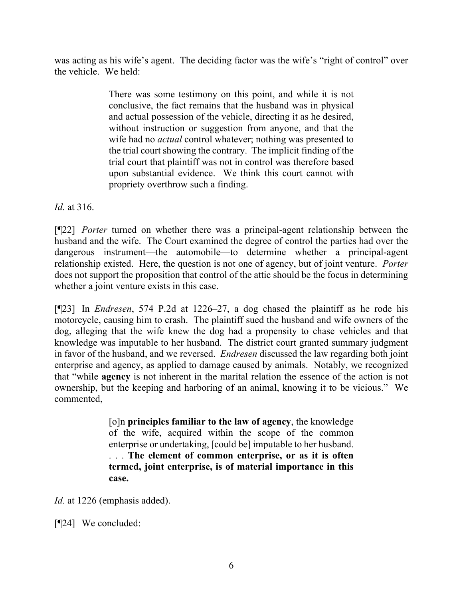was acting as his wife's agent. The deciding factor was the wife's "right of control" over the vehicle. We held:

> There was some testimony on this point, and while it is not conclusive, the fact remains that the husband was in physical and actual possession of the vehicle, directing it as he desired, without instruction or suggestion from anyone, and that the wife had no *actual* control whatever; nothing was presented to the trial court showing the contrary. The implicit finding of the trial court that plaintiff was not in control was therefore based upon substantial evidence. We think this court cannot with propriety overthrow such a finding.

*Id.* at 316.

[¶22] *Porter* turned on whether there was a principal-agent relationship between the husband and the wife. The Court examined the degree of control the parties had over the dangerous instrument—the automobile—to determine whether a principal-agent relationship existed. Here, the question is not one of agency, but of joint venture. *Porter*  does not support the proposition that control of the attic should be the focus in determining whether a joint venture exists in this case.

[¶23] In *Endresen*, 574 P.2d at 1226–27, a dog chased the plaintiff as he rode his motorcycle, causing him to crash. The plaintiff sued the husband and wife owners of the dog, alleging that the wife knew the dog had a propensity to chase vehicles and that knowledge was imputable to her husband. The district court granted summary judgment in favor of the husband, and we reversed. *Endresen* discussed the law regarding both joint enterprise and agency, as applied to damage caused by animals. Notably, we recognized that "while **agency** is not inherent in the marital relation the essence of the action is not ownership, but the keeping and harboring of an animal, knowing it to be vicious." We commented,

> [o]n **principles familiar to the law of agency**, the knowledge of the wife, acquired within the scope of the common enterprise or undertaking, [could be] imputable to her husband. . . . **The element of common enterprise, or as it is often termed, joint enterprise, is of material importance in this case.**

*Id.* at 1226 (emphasis added).

[¶24] We concluded: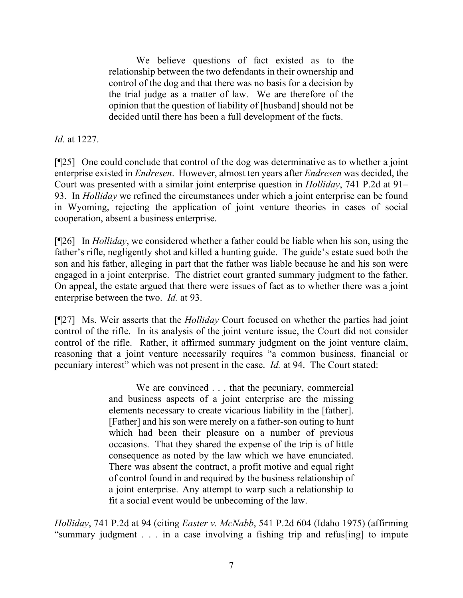We believe questions of fact existed as to the relationship between the two defendants in their ownership and control of the dog and that there was no basis for a decision by the trial judge as a matter of law. We are therefore of the opinion that the question of liability of [husband] should not be decided until there has been a full development of the facts.

*Id.* at 1227.

[¶25] One could conclude that control of the dog was determinative as to whether a joint enterprise existed in *Endresen*. However, almost ten years after *Endresen* was decided, the Court was presented with a similar joint enterprise question in *Holliday*, 741 P.2d at 91– 93. In *Holliday* we refined the circumstances under which a joint enterprise can be found in Wyoming, rejecting the application of joint venture theories in cases of social cooperation, absent a business enterprise.

[¶26] In *Holliday*, we considered whether a father could be liable when his son, using the father's rifle, negligently shot and killed a hunting guide. The guide's estate sued both the son and his father, alleging in part that the father was liable because he and his son were engaged in a joint enterprise. The district court granted summary judgment to the father. On appeal, the estate argued that there were issues of fact as to whether there was a joint enterprise between the two. *Id.* at 93.

[¶27] Ms. Weir asserts that the *Holliday* Court focused on whether the parties had joint control of the rifle. In its analysis of the joint venture issue, the Court did not consider control of the rifle. Rather, it affirmed summary judgment on the joint venture claim, reasoning that a joint venture necessarily requires "a common business, financial or pecuniary interest" which was not present in the case. *Id.* at 94. The Court stated:

> We are convinced . . . that the pecuniary, commercial and business aspects of a joint enterprise are the missing elements necessary to create vicarious liability in the [father]. [Father] and his son were merely on a father-son outing to hunt which had been their pleasure on a number of previous occasions. That they shared the expense of the trip is of little consequence as noted by the law which we have enunciated. There was absent the contract, a profit motive and equal right of control found in and required by the business relationship of a joint enterprise. Any attempt to warp such a relationship to fit a social event would be unbecoming of the law.

*Holliday*, 741 P.2d at 94 (citing *Easter v. McNabb*, 541 P.2d 604 (Idaho 1975) (affirming "summary judgment . . . in a case involving a fishing trip and refus[ing] to impute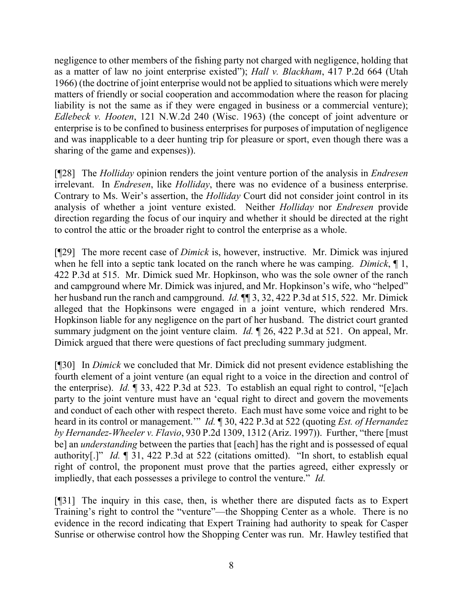negligence to other members of the fishing party not charged with negligence, holding that as a matter of law no joint enterprise existed"); *Hall v. Blackham*, 417 P.2d 664 (Utah 1966) (the doctrine of joint enterprise would not be applied to situations which were merely matters of friendly or social cooperation and accommodation where the reason for placing liability is not the same as if they were engaged in business or a commercial venture); *Edlebeck v. Hooten*, 121 N.W.2d 240 (Wisc. 1963) (the concept of joint adventure or enterprise is to be confined to business enterprises for purposes of imputation of negligence and was inapplicable to a deer hunting trip for pleasure or sport, even though there was a sharing of the game and expenses)).

[¶28] The *Holliday* opinion renders the joint venture portion of the analysis in *Endresen* irrelevant. In *Endresen*, like *Holliday*, there was no evidence of a business enterprise. Contrary to Ms. Weir's assertion, the *Holliday* Court did not consider joint control in its analysis of whether a joint venture existed. Neither *Holliday* nor *Endresen* provide direction regarding the focus of our inquiry and whether it should be directed at the right to control the attic or the broader right to control the enterprise as a whole.

[¶29] The more recent case of *Dimick* is, however, instructive. Mr. Dimick was injured when he fell into a septic tank located on the ranch where he was camping. *Dimick*, ¶ 1, 422 P.3d at 515. Mr. Dimick sued Mr. Hopkinson, who was the sole owner of the ranch and campground where Mr. Dimick was injured, and Mr. Hopkinson's wife, who "helped" her husband run the ranch and campground. *Id.* ¶¶ 3, 32, 422 P.3d at 515, 522. Mr. Dimick alleged that the Hopkinsons were engaged in a joint venture, which rendered Mrs. Hopkinson liable for any negligence on the part of her husband. The district court granted summary judgment on the joint venture claim. *Id.* ¶ 26, 422 P.3d at 521. On appeal, Mr. Dimick argued that there were questions of fact precluding summary judgment.

[¶30] In *Dimick* we concluded that Mr. Dimick did not present evidence establishing the fourth element of a joint venture (an equal right to a voice in the direction and control of the enterprise). *Id.* ¶ 33, 422 P.3d at 523. To establish an equal right to control, "[e]ach party to the joint venture must have an 'equal right to direct and govern the movements and conduct of each other with respect thereto. Each must have some voice and right to be heard in its control or management.'" *Id.* ¶ 30, 422 P.3d at 522 (quoting *Est. of Hernandez by Hernandez-Wheeler v. Flavio*, 930 P.2d 1309, 1312 (Ariz. 1997)). Further, "there [must be] an *understanding* between the parties that [each] has the right and is possessed of equal authority[.]" *Id.* ¶ 31, 422 P.3d at 522 (citations omitted). "In short, to establish equal right of control, the proponent must prove that the parties agreed, either expressly or impliedly, that each possesses a privilege to control the venture." *Id.*

[¶31] The inquiry in this case, then, is whether there are disputed facts as to Expert Training's right to control the "venture"—the Shopping Center as a whole. There is no evidence in the record indicating that Expert Training had authority to speak for Casper Sunrise or otherwise control how the Shopping Center was run. Mr. Hawley testified that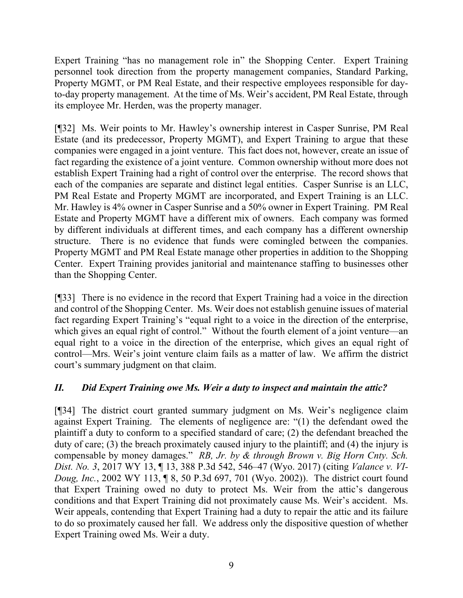Expert Training "has no management role in" the Shopping Center. Expert Training personnel took direction from the property management companies, Standard Parking, Property MGMT, or PM Real Estate, and their respective employees responsible for dayto-day property management. At the time of Ms. Weir's accident, PM Real Estate, through its employee Mr. Herden, was the property manager.

[¶32] Ms. Weir points to Mr. Hawley's ownership interest in Casper Sunrise, PM Real Estate (and its predecessor, Property MGMT), and Expert Training to argue that these companies were engaged in a joint venture. This fact does not, however, create an issue of fact regarding the existence of a joint venture. Common ownership without more does not establish Expert Training had a right of control over the enterprise. The record shows that each of the companies are separate and distinct legal entities. Casper Sunrise is an LLC, PM Real Estate and Property MGMT are incorporated, and Expert Training is an LLC. Mr. Hawley is 4% owner in Casper Sunrise and a 50% owner in Expert Training. PM Real Estate and Property MGMT have a different mix of owners. Each company was formed by different individuals at different times, and each company has a different ownership structure. There is no evidence that funds were comingled between the companies. Property MGMT and PM Real Estate manage other properties in addition to the Shopping Center. Expert Training provides janitorial and maintenance staffing to businesses other than the Shopping Center.

[¶33] There is no evidence in the record that Expert Training had a voice in the direction and control of the Shopping Center. Ms. Weir does not establish genuine issues of material fact regarding Expert Training's "equal right to a voice in the direction of the enterprise, which gives an equal right of control." Without the fourth element of a joint venture—an equal right to a voice in the direction of the enterprise, which gives an equal right of control—Mrs. Weir's joint venture claim fails as a matter of law. We affirm the district court's summary judgment on that claim.

# *II. Did Expert Training owe Ms. Weir a duty to inspect and maintain the attic?*

[¶34] The district court granted summary judgment on Ms. Weir's negligence claim against Expert Training. The elements of negligence are: "(1) the defendant owed the plaintiff a duty to conform to a specified standard of care; (2) the defendant breached the duty of care; (3) the breach proximately caused injury to the plaintiff; and (4) the injury is compensable by money damages." *RB, Jr. by & through Brown v. Big Horn Cnty. Sch. Dist. No. 3*, 2017 WY 13, ¶ 13, 388 P.3d 542, 546–47 (Wyo. 2017) (citing *Valance v. VI-Doug, Inc.*, 2002 WY 113, ¶ 8, 50 P.3d 697, 701 (Wyo. 2002)). The district court found that Expert Training owed no duty to protect Ms. Weir from the attic's dangerous conditions and that Expert Training did not proximately cause Ms. Weir's accident. Ms. Weir appeals, contending that Expert Training had a duty to repair the attic and its failure to do so proximately caused her fall. We address only the dispositive question of whether Expert Training owed Ms. Weir a duty.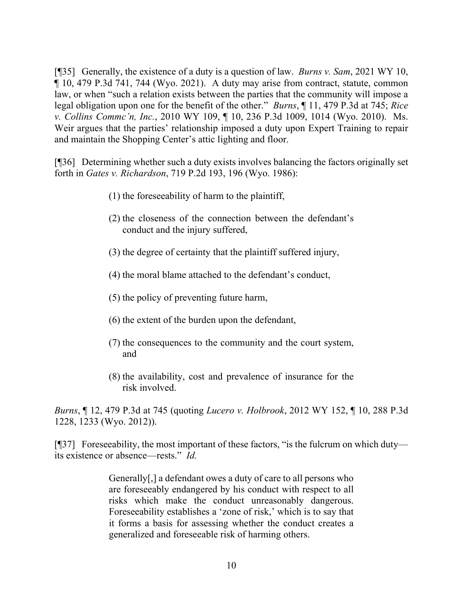[¶35] Generally, the existence of a duty is a question of law. *Burns v. Sam*, 2021 WY 10, ¶ 10, 479 P.3d 741, 744 (Wyo. 2021). A duty may arise from contract, statute, common law, or when "such a relation exists between the parties that the community will impose a legal obligation upon one for the benefit of the other." *Burns*, ¶ 11, 479 P.3d at 745; *Rice v. Collins Commc'n, Inc.*, 2010 WY 109, ¶ 10, 236 P.3d 1009, 1014 (Wyo. 2010). Ms. Weir argues that the parties' relationship imposed a duty upon Expert Training to repair and maintain the Shopping Center's attic lighting and floor.

[¶36] Determining whether such a duty exists involves balancing the factors originally set forth in *Gates v. Richardson*, 719 P.2d 193, 196 (Wyo. 1986):

- (1) the foreseeability of harm to the plaintiff,
- (2) the closeness of the connection between the defendant's conduct and the injury suffered,
- (3) the degree of certainty that the plaintiff suffered injury,
- (4) the moral blame attached to the defendant's conduct,
- (5) the policy of preventing future harm,
- (6) the extent of the burden upon the defendant,
- (7) the consequences to the community and the court system, and
- (8) the availability, cost and prevalence of insurance for the risk involved.

*Burns*, ¶ 12, 479 P.3d at 745 (quoting *Lucero v. Holbrook*, 2012 WY 152, ¶ 10, 288 P.3d 1228, 1233 (Wyo. 2012)).

[¶37] Foreseeability, the most important of these factors, "is the fulcrum on which duty its existence or absence—rests." *Id.*

> Generally[,] a defendant owes a duty of care to all persons who are foreseeably endangered by his conduct with respect to all risks which make the conduct unreasonably dangerous. Foreseeability establishes a 'zone of risk,' which is to say that it forms a basis for assessing whether the conduct creates a generalized and foreseeable risk of harming others.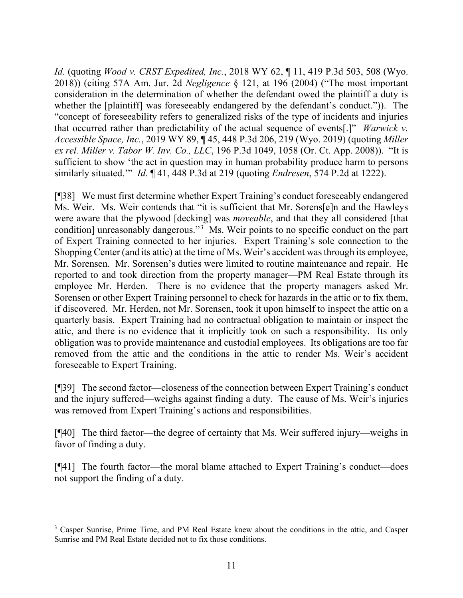*Id.* (quoting *Wood v. CRST Expedited, Inc.*, 2018 WY 62, ¶ 11, 419 P.3d 503, 508 (Wyo. 2018)) (citing 57A Am. Jur. 2d *Negligence* § 121, at 196 (2004) ("The most important consideration in the determination of whether the defendant owed the plaintiff a duty is whether the [plaintiff] was foreseeably endangered by the defendant's conduct.")). The "concept of foreseeability refers to generalized risks of the type of incidents and injuries that occurred rather than predictability of the actual sequence of events[.]" *Warwick v. Accessible Space, Inc.*, 2019 WY 89, ¶ 45, 448 P.3d 206, 219 (Wyo. 2019) (quoting *Miller ex rel. Miller v. Tabor W. Inv. Co., LLC*, 196 P.3d 1049, 1058 (Or. Ct. App. 2008)). "It is sufficient to show 'the act in question may in human probability produce harm to persons similarly situated.'" *Id.* ¶ 41, 448 P.3d at 219 (quoting *Endresen*, 574 P.2d at 1222).

[¶38] We must first determine whether Expert Training's conduct foreseeably endangered Ms. Weir. Ms. Weir contends that "it is sufficient that Mr. Sorens[e]n and the Hawleys were aware that the plywood [decking] was *moveable*, and that they all considered [that condition] unreasonably dangerous."<sup>[3](#page-11-0)</sup> Ms. Weir points to no specific conduct on the part of Expert Training connected to her injuries. Expert Training's sole connection to the Shopping Center (and its attic) at the time of Ms. Weir's accident was through its employee, Mr. Sorensen. Mr. Sorensen's duties were limited to routine maintenance and repair. He reported to and took direction from the property manager—PM Real Estate through its employee Mr. Herden. There is no evidence that the property managers asked Mr. Sorensen or other Expert Training personnel to check for hazards in the attic or to fix them, if discovered. Mr. Herden, not Mr. Sorensen, took it upon himself to inspect the attic on a quarterly basis. Expert Training had no contractual obligation to maintain or inspect the attic, and there is no evidence that it implicitly took on such a responsibility. Its only obligation was to provide maintenance and custodial employees. Its obligations are too far removed from the attic and the conditions in the attic to render Ms. Weir's accident foreseeable to Expert Training.

[¶39] The second factor—closeness of the connection between Expert Training's conduct and the injury suffered—weighs against finding a duty. The cause of Ms. Weir's injuries was removed from Expert Training's actions and responsibilities.

[¶40] The third factor—the degree of certainty that Ms. Weir suffered injury—weighs in favor of finding a duty.

[¶41] The fourth factor—the moral blame attached to Expert Training's conduct—does not support the finding of a duty.

<span id="page-11-0"></span><sup>&</sup>lt;sup>3</sup> Casper Sunrise, Prime Time, and PM Real Estate knew about the conditions in the attic, and Casper Sunrise and PM Real Estate decided not to fix those conditions.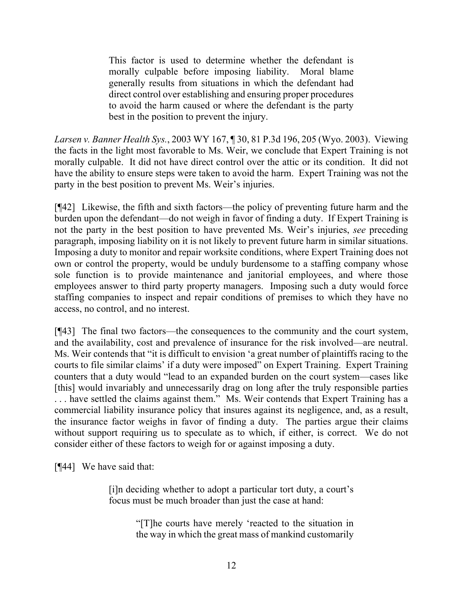This factor is used to determine whether the defendant is morally culpable before imposing liability. Moral blame generally results from situations in which the defendant had direct control over establishing and ensuring proper procedures to avoid the harm caused or where the defendant is the party best in the position to prevent the injury.

*Larsen v. Banner Health Sys.*, 2003 WY 167, ¶ 30, 81 P.3d 196, 205 (Wyo. 2003). Viewing the facts in the light most favorable to Ms. Weir, we conclude that Expert Training is not morally culpable. It did not have direct control over the attic or its condition. It did not have the ability to ensure steps were taken to avoid the harm. Expert Training was not the party in the best position to prevent Ms. Weir's injuries.

[¶42] Likewise, the fifth and sixth factors—the policy of preventing future harm and the burden upon the defendant—do not weigh in favor of finding a duty. If Expert Training is not the party in the best position to have prevented Ms. Weir's injuries, *see* preceding paragraph, imposing liability on it is not likely to prevent future harm in similar situations. Imposing a duty to monitor and repair worksite conditions, where Expert Training does not own or control the property, would be unduly burdensome to a staffing company whose sole function is to provide maintenance and janitorial employees, and where those employees answer to third party property managers. Imposing such a duty would force staffing companies to inspect and repair conditions of premises to which they have no access, no control, and no interest.

[¶43] The final two factors—the consequences to the community and the court system, and the availability, cost and prevalence of insurance for the risk involved—are neutral. Ms. Weir contends that "it is difficult to envision 'a great number of plaintiffs racing to the courts to file similar claims' if a duty were imposed" on Expert Training. Expert Training counters that a duty would "lead to an expanded burden on the court system—cases like [this] would invariably and unnecessarily drag on long after the truly responsible parties . . . have settled the claims against them." Ms. Weir contends that Expert Training has a commercial liability insurance policy that insures against its negligence, and, as a result, the insurance factor weighs in favor of finding a duty. The parties argue their claims without support requiring us to speculate as to which, if either, is correct. We do not consider either of these factors to weigh for or against imposing a duty.

[¶44] We have said that:

[i]n deciding whether to adopt a particular tort duty, a court's focus must be much broader than just the case at hand:

> "[T]he courts have merely 'reacted to the situation in the way in which the great mass of mankind customarily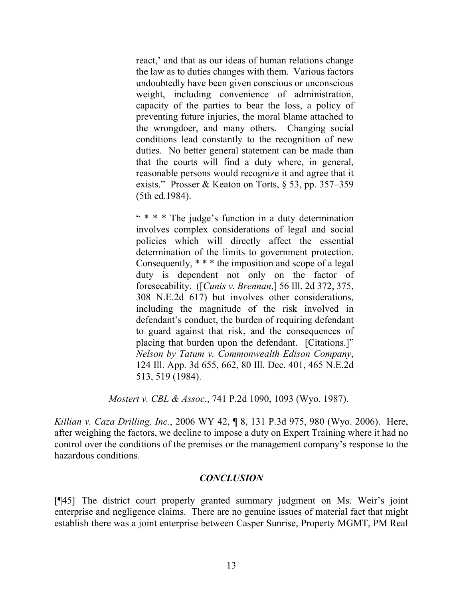react,' and that as our ideas of human relations change the law as to duties changes with them. Various factors undoubtedly have been given conscious or unconscious weight, including convenience of administration, capacity of the parties to bear the loss, a policy of preventing future injuries, the moral blame attached to the wrongdoer, and many others. Changing social conditions lead constantly to the recognition of new duties. No better general statement can be made than that the courts will find a duty where, in general, reasonable persons would recognize it and agree that it exists." Prosser & Keaton on Torts, § 53, pp. 357–359 (5th ed.1984).

" \* \* \* The judge's function in a duty determination involves complex considerations of legal and social policies which will directly affect the essential determination of the limits to government protection. Consequently, \* \* \* the imposition and scope of a legal duty is dependent not only on the factor of foreseeability. ([*Cunis v. Brennan*,] 56 Ill. 2d 372, 375, 308 N.E.2d 617) but involves other considerations, including the magnitude of the risk involved in defendant's conduct, the burden of requiring defendant to guard against that risk, and the consequences of placing that burden upon the defendant. [Citations.]" *Nelson by Tatum v. Commonwealth Edison Company*, 124 Ill. App. 3d 655, 662, 80 Ill. Dec. 401, 465 N.E.2d 513, 519 (1984).

*Mostert v. CBL & Assoc.*, 741 P.2d 1090, 1093 (Wyo. 1987).

*Killian v. Caza Drilling, Inc.*, 2006 WY 42, ¶ 8, 131 P.3d 975, 980 (Wyo. 2006). Here, after weighing the factors, we decline to impose a duty on Expert Training where it had no control over the conditions of the premises or the management company's response to the hazardous conditions.

## *CONCLUSION*

[¶45] The district court properly granted summary judgment on Ms. Weir's joint enterprise and negligence claims. There are no genuine issues of material fact that might establish there was a joint enterprise between Casper Sunrise, Property MGMT, PM Real